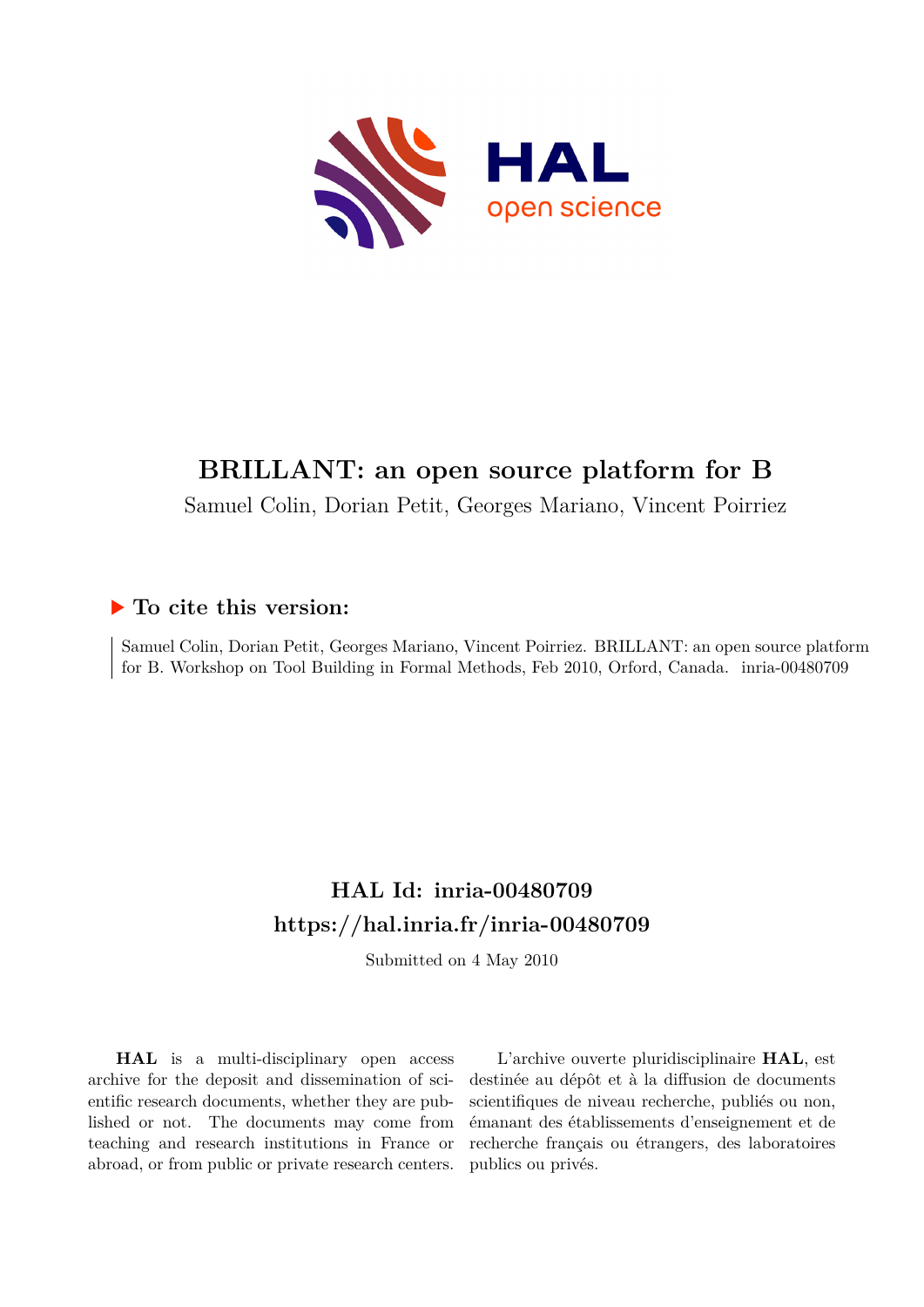

# **BRILLANT: an open source platform for B**

Samuel Colin, Dorian Petit, Georges Mariano, Vincent Poirriez

# **To cite this version:**

Samuel Colin, Dorian Petit, Georges Mariano, Vincent Poirriez. BRILLANT: an open source platform for B. Workshop on Tool Building in Formal Methods, Feb 2010, Orford, Canada. inria-00480709

# **HAL Id: inria-00480709 <https://hal.inria.fr/inria-00480709>**

Submitted on 4 May 2010

**HAL** is a multi-disciplinary open access archive for the deposit and dissemination of scientific research documents, whether they are published or not. The documents may come from teaching and research institutions in France or abroad, or from public or private research centers.

L'archive ouverte pluridisciplinaire **HAL**, est destinée au dépôt et à la diffusion de documents scientifiques de niveau recherche, publiés ou non, émanant des établissements d'enseignement et de recherche français ou étrangers, des laboratoires publics ou privés.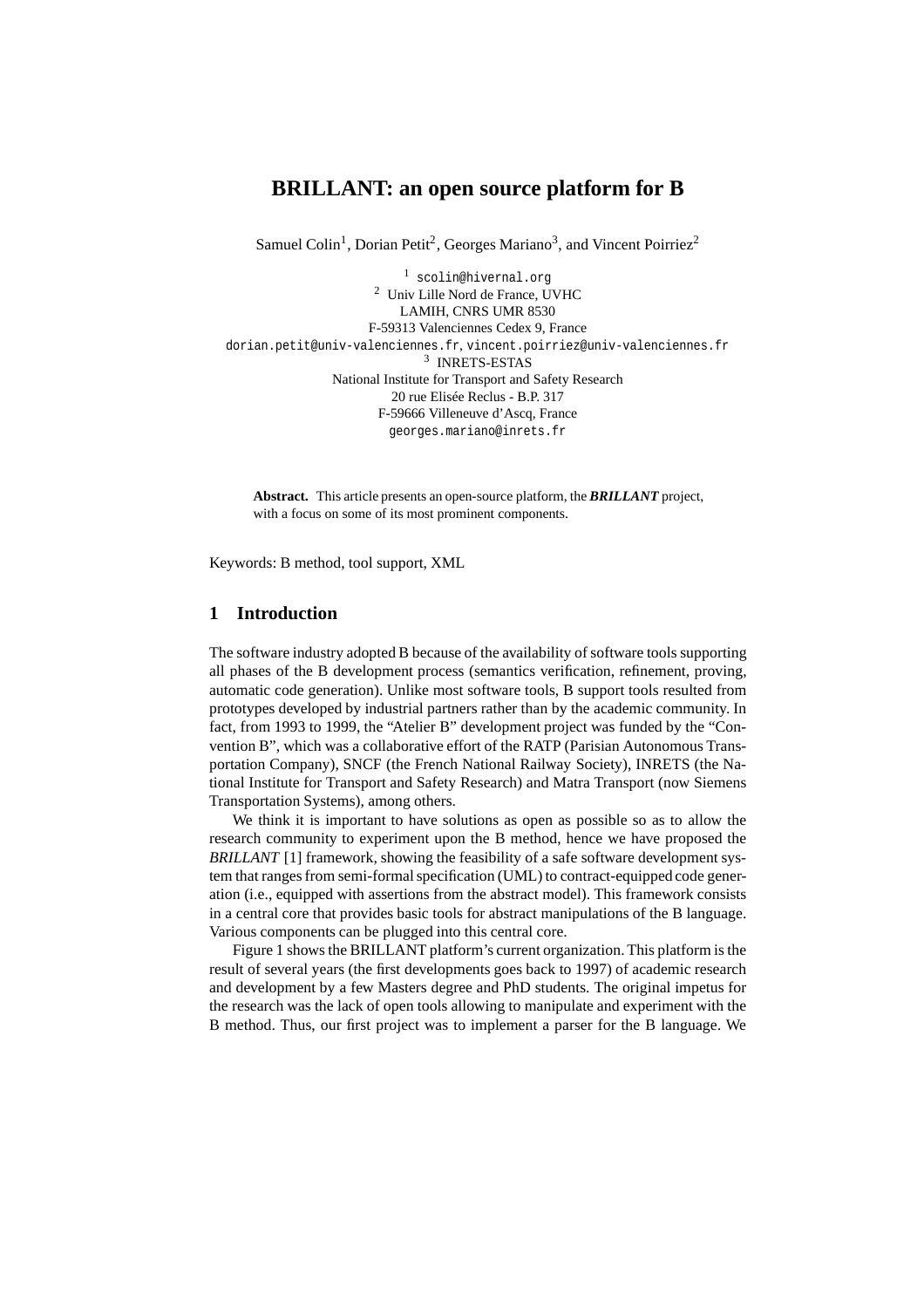# **BRILLANT: an open source platform for B**

Samuel Colin<sup>1</sup>, Dorian Petit<sup>2</sup>, Georges Mariano<sup>3</sup>, and Vincent Poirriez<sup>2</sup>

<sup>1</sup> scolin@hivernal.org <sup>2</sup> Univ Lille Nord de France, UVHC LAMIH, CNRS UMR 8530 F-59313 Valenciennes Cedex 9, France dorian.petit@univ-valenciennes.fr, vincent.poirriez@univ-valenciennes.fr 3 INRETS-ESTAS National Institute for Transport and Safety Research 20 rue Elisée Reclus - B.P. 317 F-59666 Villeneuve d'Ascq, France georges.mariano@inrets.fr

**Abstract.** This article presents an open-source platform, the *BRILLANT* project, with a focus on some of its most prominent components.

Keywords: B method, tool support, XML

#### **1 Introduction**

The software industry adopted B because of the availability of software tools supporting all phases of the B development process (semantics verification, refinement, proving, automatic code generation). Unlike most software tools, B support tools resulted from prototypes developed by industrial partners rather than by the academic community. In fact, from 1993 to 1999, the "Atelier B" development project was funded by the "Convention B", which was a collaborative effort of the RATP (Parisian Autonomous Transportation Company), SNCF (the French National Railway Society), INRETS (the National Institute for Transport and Safety Research) and Matra Transport (now Siemens Transportation Systems), among others.

We think it is important to have solutions as open as possible so as to allow the research community to experiment upon the B method, hence we have proposed the *BRILLANT* [1] framework, showing the feasibility of a safe software development system that ranges from semi-formal specification (UML) to contract-equipped code generation (i.e., equipped with assertions from the abstract model). This framework consists in a central core that provides basic tools for abstract manipulations of the B language. Various components can be plugged into this central core.

Figure 1 shows the BRILLANT platform's current organization. This platform is the result of several years (the first developments goes back to 1997) of academic research and development by a few Masters degree and PhD students. The original impetus for the research was the lack of open tools allowing to manipulate and experiment with the B method. Thus, our first project was to implement a parser for the B language. We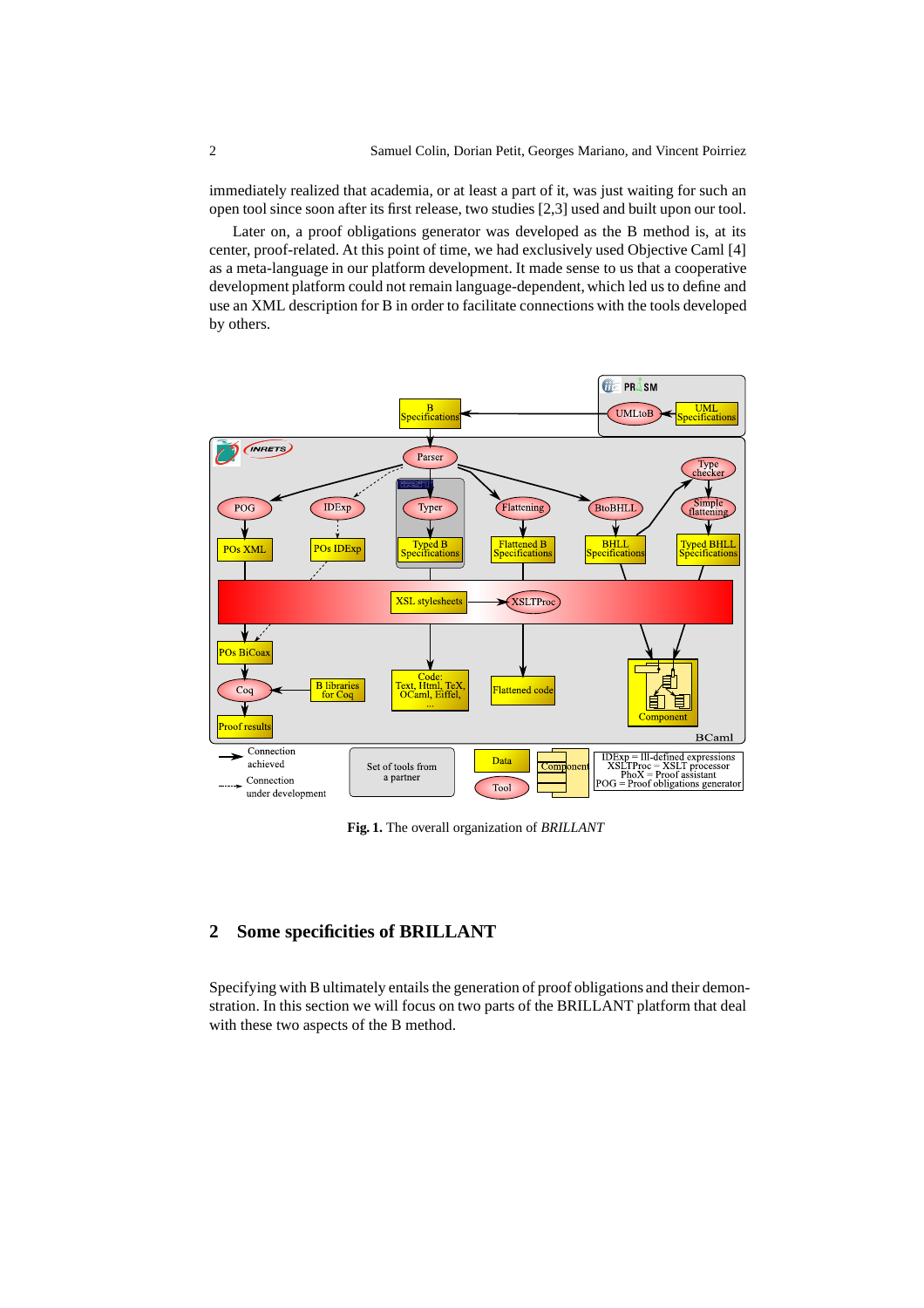immediately realized that academia, or at least a part of it, was just waiting for such an open tool since soon after its first release, two studies [2,3] used and built upon our tool.

Later on, a proof obligations generator was developed as the B method is, at its center, proof-related. At this point of time, we had exclusively used Objective Caml [4] as a meta-language in our platform development. It made sense to us that a cooperative development platform could not remain language-dependent, which led us to define and use an XML description for B in order to facilitate connections with the tools developed by others.



**Fig. 1.** The overall organization of *BRILLANT*

## **2 Some specificities of BRILLANT**

Specifying with B ultimately entails the generation of proof obligations and their demonstration. In this section we will focus on two parts of the BRILLANT platform that deal with these two aspects of the B method.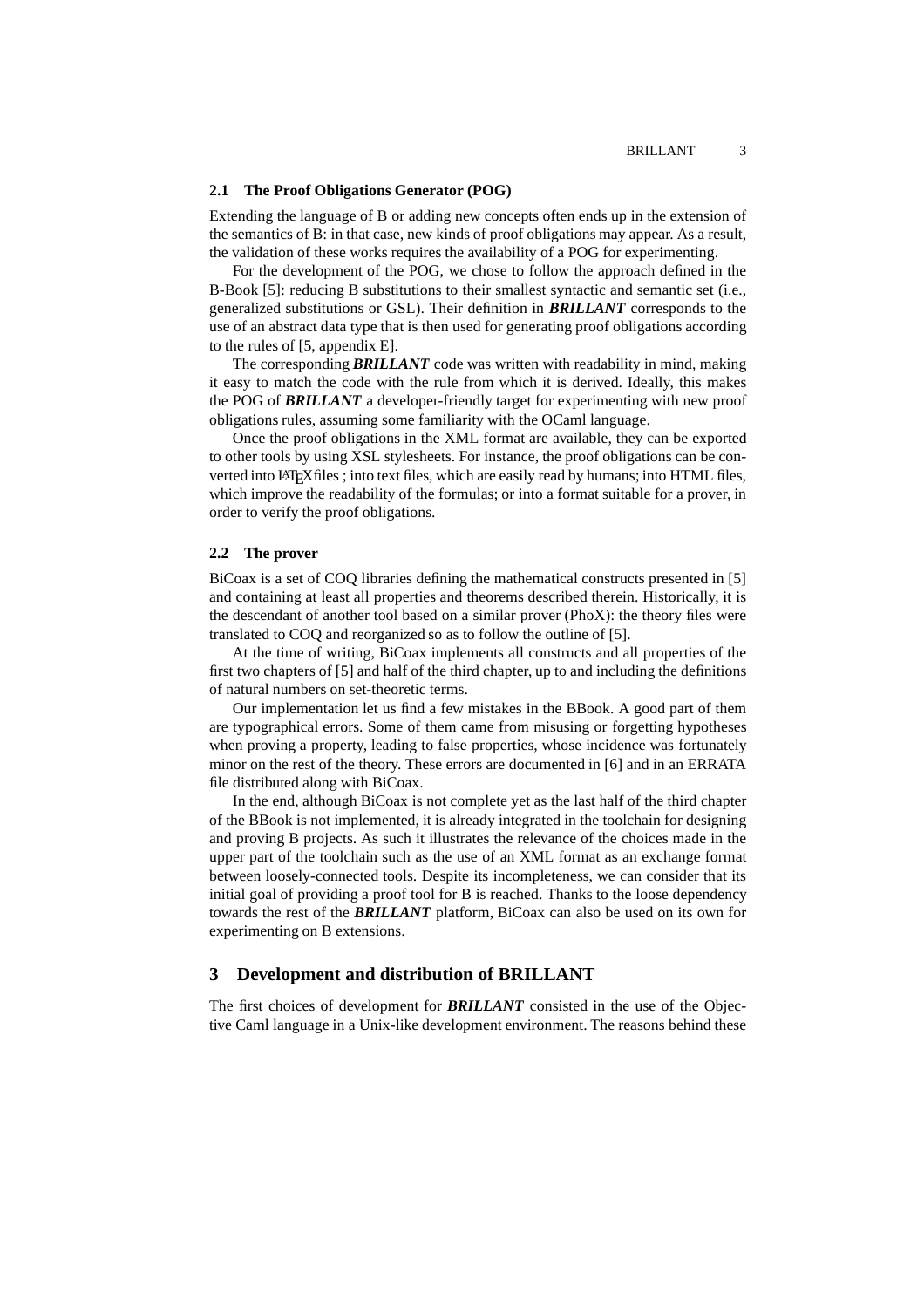#### **2.1 The Proof Obligations Generator (POG)**

Extending the language of B or adding new concepts often ends up in the extension of the semantics of B: in that case, new kinds of proof obligations may appear. As a result, the validation of these works requires the availability of a POG for experimenting.

For the development of the POG, we chose to follow the approach defined in the B-Book [5]: reducing B substitutions to their smallest syntactic and semantic set (i.e., generalized substitutions or GSL). Their definition in *BRILLANT* corresponds to the use of an abstract data type that is then used for generating proof obligations according to the rules of [5, appendix E].

The corresponding *BRILLANT* code was written with readability in mind, making it easy to match the code with the rule from which it is derived. Ideally, this makes the POG of *BRILLANT* a developer-friendly target for experimenting with new proof obligations rules, assuming some familiarity with the OCaml language.

Once the proof obligations in the XML format are available, they can be exported to other tools by using XSL stylesheets. For instance, the proof obligations can be converted into LATEXfiles ; into text files, which are easily read by humans; into HTML files, which improve the readability of the formulas; or into a format suitable for a prover, in order to verify the proof obligations.

#### **2.2 The prover**

BiCoax is a set of COQ libraries defining the mathematical constructs presented in [5] and containing at least all properties and theorems described therein. Historically, it is the descendant of another tool based on a similar prover ( $PhoX$ ): the theory files were translated to COQ and reorganized so as to follow the outline of [5].

At the time of writing, BiCoax implements all constructs and all properties of the first two chapters of [5] and half of the third chapter, up to and including the definitions of natural numbers on set-theoretic terms.

Our implementation let us find a few mistakes in the BBook. A good part of them are typographical errors. Some of them came from misusing or forgetting hypotheses when proving a property, leading to false properties, whose incidence was fortunately minor on the rest of the theory. These errors are documented in [6] and in an ERRATA file distributed along with BiCoax.

In the end, although BiCoax is not complete yet as the last half of the third chapter of the BBook is not implemented, it is already integrated in the toolchain for designing and proving B projects. As such it illustrates the relevance of the choices made in the upper part of the toolchain such as the use of an XML format as an exchange format between loosely-connected tools. Despite its incompleteness, we can consider that its initial goal of providing a proof tool for B is reached. Thanks to the loose dependency towards the rest of the *BRILLANT* platform, BiCoax can also be used on its own for experimenting on B extensions.

### **3 Development and distribution of BRILLANT**

The first choices of development for *BRILLANT* consisted in the use of the Objective Caml language in a Unix-like development environment. The reasons behind these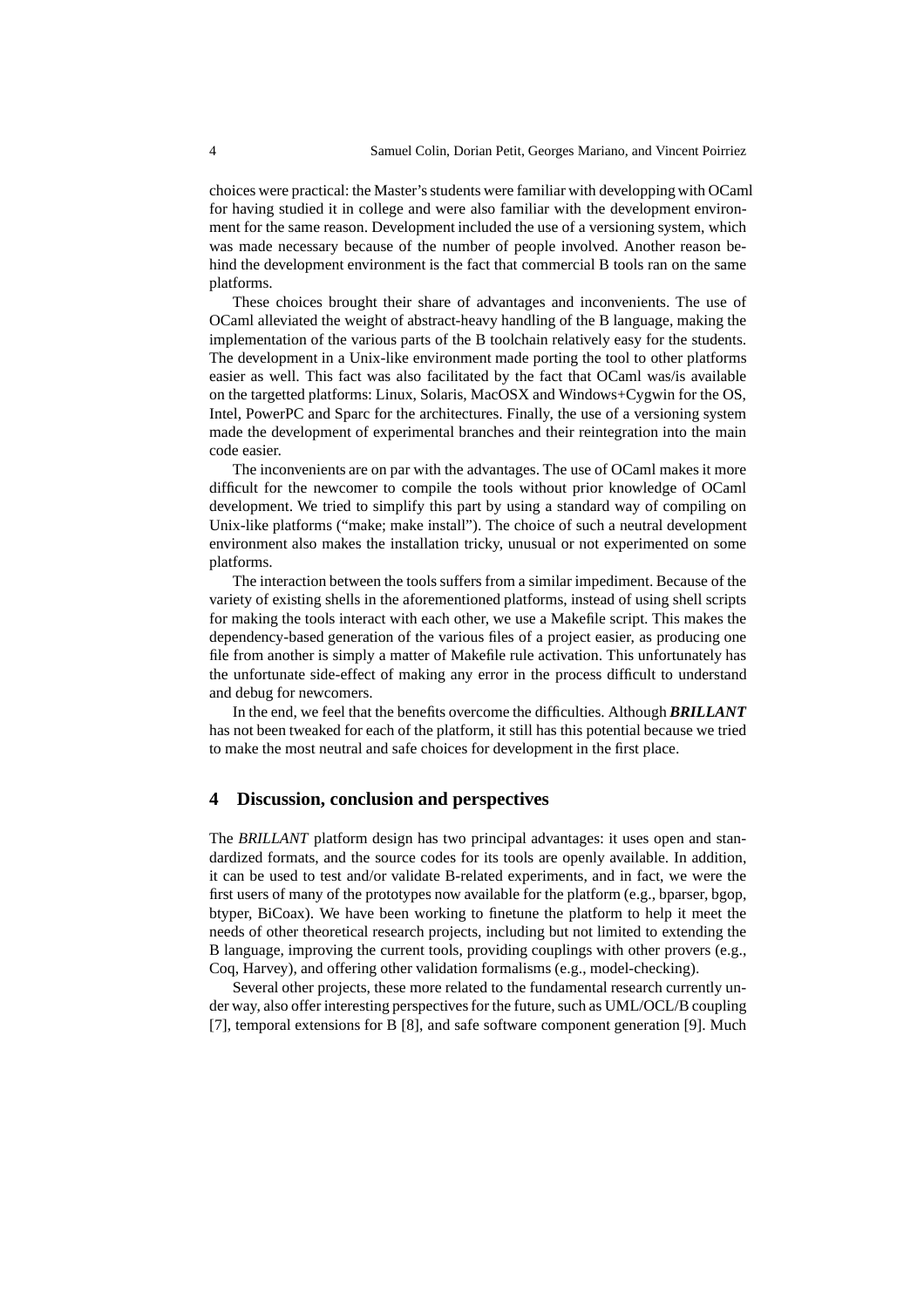choices were practical: the Master's students were familiar with developping with OCaml for having studied it in college and were also familiar with the development environment for the same reason. Development included the use of a versioning system, which was made necessary because of the number of people involved. Another reason behind the development environment is the fact that commercial B tools ran on the same platforms.

These choices brought their share of advantages and inconvenients. The use of OCaml alleviated the weight of abstract-heavy handling of the B language, making the implementation of the various parts of the B toolchain relatively easy for the students. The development in a Unix-like environment made porting the tool to other platforms easier as well. This fact was also facilitated by the fact that OCaml was/is available on the targetted platforms: Linux, Solaris, MacOSX and Windows+Cygwin for the OS, Intel, PowerPC and Sparc for the architectures. Finally, the use of a versioning system made the development of experimental branches and their reintegration into the main code easier.

The inconvenients are on par with the advantages. The use of OCaml makes it more difficult for the newcomer to compile the tools without prior knowledge of OCaml development. We tried to simplify this part by using a standard way of compiling on Unix-like platforms ("make; make install"). The choice of such a neutral development environment also makes the installation tricky, unusual or not experimented on some platforms.

The interaction between the tools suffers from a similar impediment. Because of the variety of existing shells in the aforementioned platforms, instead of using shell scripts for making the tools interact with each other, we use a Makefile script. This makes the dependency-based generation of the various files of a project easier, as producing one file from another is simply a matter of Makefile rule activation. This unfortunately has the unfortunate side-effect of making any error in the process difficult to understand and debug for newcomers.

In the end, we feel that the benefits overcome the difficulties. Although *BRILLANT* has not been tweaked for each of the platform, it still has this potential because we tried to make the most neutral and safe choices for development in the first place.

### **4 Discussion, conclusion and perspectives**

The *BRILLANT* platform design has two principal advantages: it uses open and standardized formats, and the source codes for its tools are openly available. In addition, it can be used to test and/or validate B-related experiments, and in fact, we were the first users of many of the prototypes now available for the platform (e.g., bparser, bgop, btyper, BiCoax). We have been working to finetune the platform to help it meet the needs of other theoretical research projects, including but not limited to extending the B language, improving the current tools, providing couplings with other provers (e.g., Coq, Harvey), and offering other validation formalisms (e.g., model-checking).

Several other projects, these more related to the fundamental research currently under way, also offer interesting perspectives for the future, such as UML/OCL/B coupling [7], temporal extensions for B [8], and safe software component generation [9]. Much